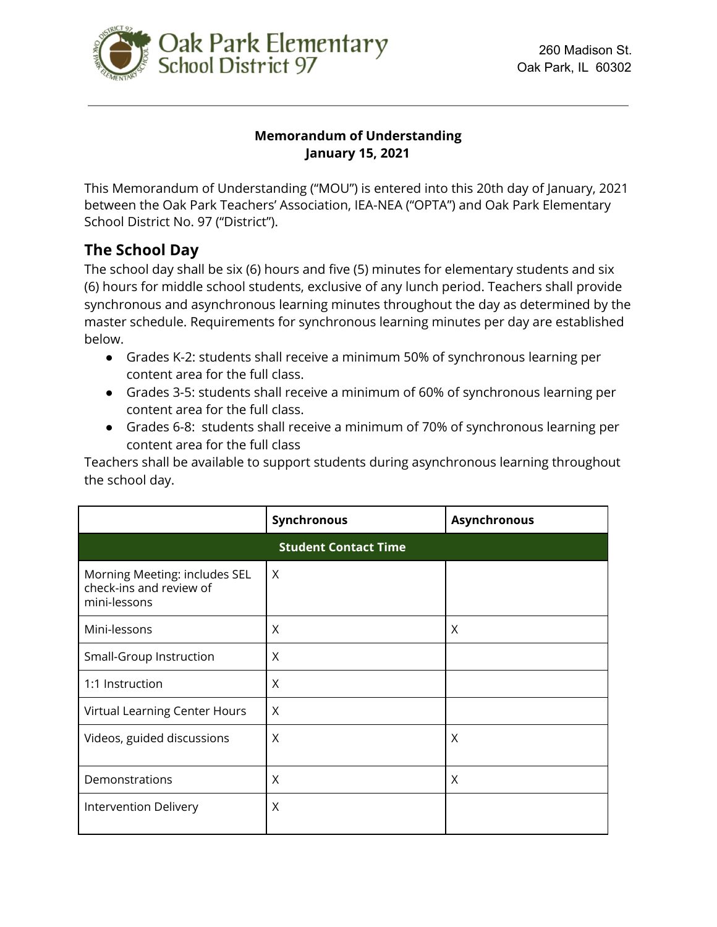

### **Memorandum of Understanding January 15, 2021**

This Memorandum of Understanding ("MOU") is entered into this 20th day of January, 2021 between the Oak Park Teachers' Association, IEA-NEA ("OPTA") and Oak Park Elementary School District No. 97 ("District").

## **The School Day**

The school day shall be six (6) hours and five (5) minutes for elementary students and six (6) hours for middle school students, exclusive of any lunch period. Teachers shall provide synchronous and asynchronous learning minutes throughout the day as determined by the master schedule. Requirements for synchronous learning minutes per day are established below.

- Grades K-2: students shall receive a minimum 50% of synchronous learning per content area for the full class.
- Grades 3-5: students shall receive a minimum of 60% of synchronous learning per content area for the full class.
- Grades 6-8: students shall receive a minimum of 70% of synchronous learning per content area for the full class

Teachers shall be available to support students during asynchronous learning throughout the school day.

|                                                                          | Synchronous | <b>Asynchronous</b> |  |
|--------------------------------------------------------------------------|-------------|---------------------|--|
| <b>Student Contact Time</b>                                              |             |                     |  |
| Morning Meeting: includes SEL<br>check-ins and review of<br>mini-lessons | $\sf X$     |                     |  |
| Mini-lessons                                                             | $\times$    | X                   |  |
| Small-Group Instruction                                                  | X           |                     |  |
| 1:1 Instruction                                                          | $\times$    |                     |  |
| Virtual Learning Center Hours                                            | $\times$    |                     |  |
| Videos, guided discussions                                               | $\times$    | X                   |  |
| Demonstrations                                                           | X           | X                   |  |
| Intervention Delivery                                                    | $\times$    |                     |  |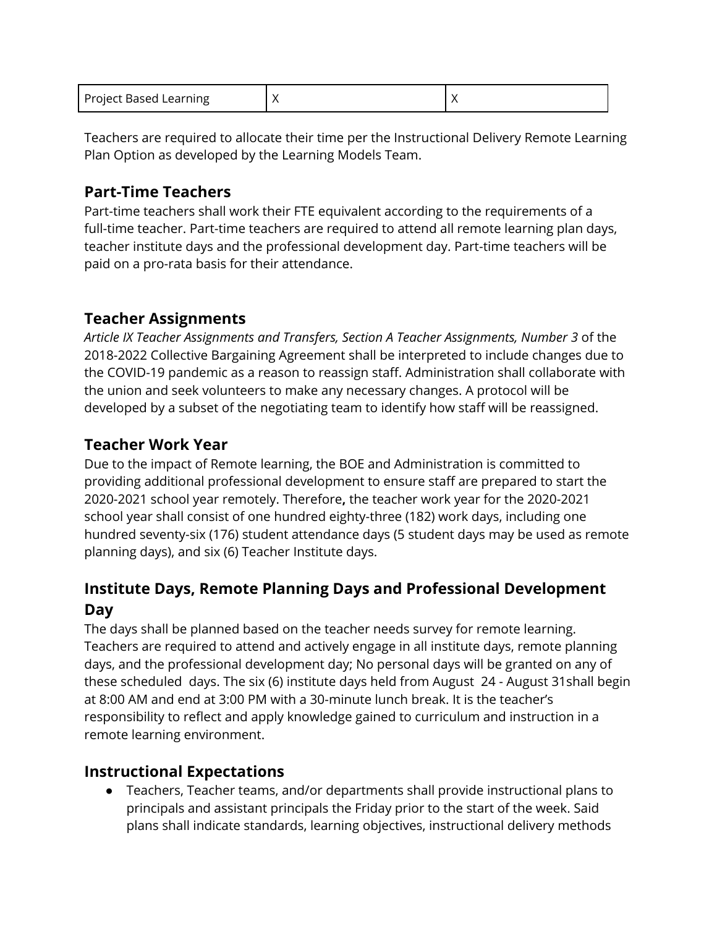| Project Based Learning |  |  |
|------------------------|--|--|
|------------------------|--|--|

Teachers are required to allocate their time per the Instructional Delivery Remote Learning Plan Option as developed by the Learning Models Team.

# **Part-Time Teachers**

Part-time teachers shall work their FTE equivalent according to the requirements of a full-time teacher. Part-time teachers are required to attend all remote learning plan days, teacher institute days and the professional development day. Part-time teachers will be paid on a pro-rata basis for their attendance.

# **Teacher Assignments**

*Article IX Teacher Assignments and Transfers, Section A Teacher Assignments, Number 3* of the 2018-2022 Collective Bargaining Agreement shall be interpreted to include changes due to the COVID-19 pandemic as a reason to reassign staff. Administration shall collaborate with the union and seek volunteers to make any necessary changes. A protocol will be developed by a subset of the negotiating team to identify how staff will be reassigned.

# **Teacher Work Year**

Due to the impact of Remote learning, the BOE and Administration is committed to providing additional professional development to ensure staff are prepared to start the 2020-2021 school year remotely. Therefore**,** the teacher work year for the 2020-2021 school year shall consist of one hundred eighty-three (182) work days, including one hundred seventy-six (176) student attendance days (5 student days may be used as remote planning days), and six (6) Teacher Institute days.

# **Institute Days, Remote Planning Days and Professional Development Day**

The days shall be planned based on the teacher needs survey for remote learning. Teachers are required to attend and actively engage in all institute days, remote planning days, and the professional development day; No personal days will be granted on any of these scheduled days. The six (6) institute days held from August 24 - August 31shall begin at 8:00 AM and end at 3:00 PM with a 30-minute lunch break. It is the teacher's responsibility to reflect and apply knowledge gained to curriculum and instruction in a remote learning environment.

## **Instructional Expectations**

● Teachers, Teacher teams, and/or departments shall provide instructional plans to principals and assistant principals the Friday prior to the start of the week. Said plans shall indicate standards, learning objectives, instructional delivery methods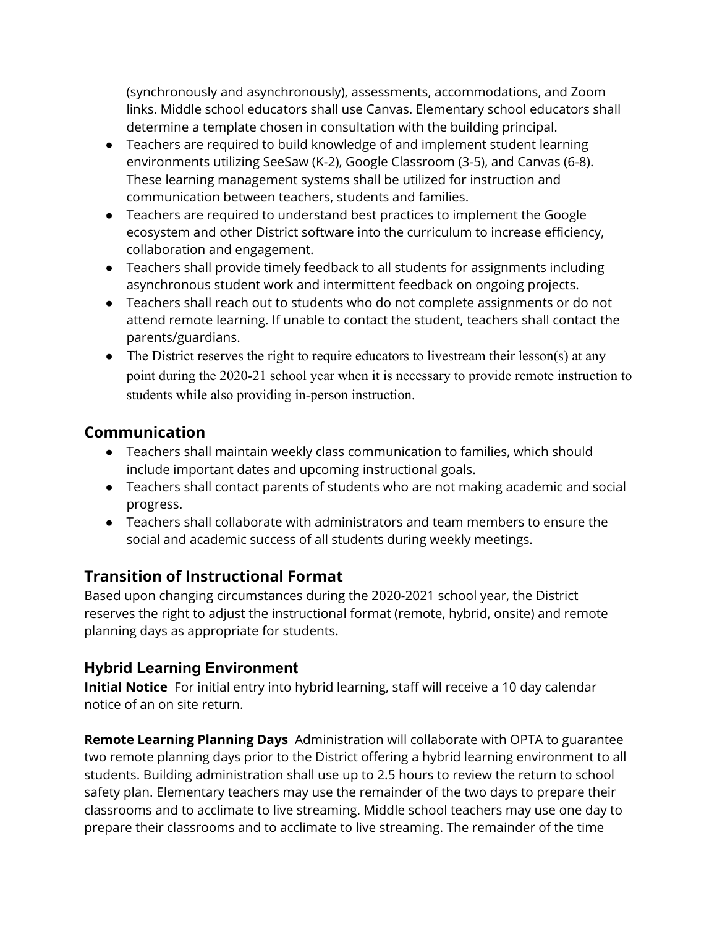(synchronously and asynchronously), assessments, accommodations, and Zoom links. Middle school educators shall use Canvas. Elementary school educators shall determine a template chosen in consultation with the building principal.

- Teachers are required to build knowledge of and implement student learning environments utilizing SeeSaw (K-2), Google Classroom (3-5), and Canvas (6-8). These learning management systems shall be utilized for instruction and communication between teachers, students and families.
- Teachers are required to understand best practices to implement the Google ecosystem and other District software into the curriculum to increase efficiency, collaboration and engagement.
- Teachers shall provide timely feedback to all students for assignments including asynchronous student work and intermittent feedback on ongoing projects.
- Teachers shall reach out to students who do not complete assignments or do not attend remote learning. If unable to contact the student, teachers shall contact the parents/guardians.
- The District reserves the right to require educators to livestream their lesson(s) at any point during the 2020-21 school year when it is necessary to provide remote instruction to students while also providing in-person instruction.

# **Communication**

- Teachers shall maintain weekly class communication to families, which should include important dates and upcoming instructional goals.
- Teachers shall contact parents of students who are not making academic and social progress.
- Teachers shall collaborate with administrators and team members to ensure the social and academic success of all students during weekly meetings.

# **Transition of Instructional Format**

Based upon changing circumstances during the 2020-2021 school year, the District reserves the right to adjust the instructional format (remote, hybrid, onsite) and remote planning days as appropriate for students.

## **Hybrid Learning Environment**

**Initial Notice** For initial entry into hybrid learning, staff will receive a 10 day calendar notice of an on site return.

**Remote Learning Planning Days** Administration will collaborate with OPTA to guarantee two remote planning days prior to the District offering a hybrid learning environment to all students. Building administration shall use up to 2.5 hours to review the return to school safety plan. Elementary teachers may use the remainder of the two days to prepare their classrooms and to acclimate to live streaming. Middle school teachers may use one day to prepare their classrooms and to acclimate to live streaming. The remainder of the time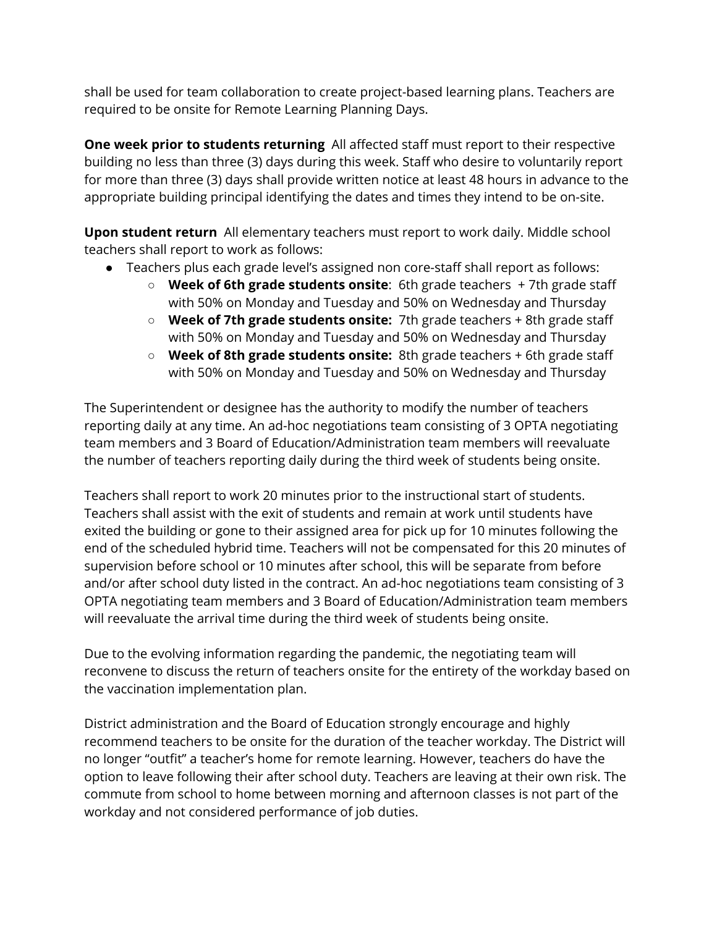shall be used for team collaboration to create project-based learning plans. Teachers are required to be onsite for Remote Learning Planning Days.

**One week prior to students returning** All affected staff must report to their respective building no less than three (3) days during this week. Staff who desire to voluntarily report for more than three (3) days shall provide written notice at least 48 hours in advance to the appropriate building principal identifying the dates and times they intend to be on-site.

**Upon student return** All elementary teachers must report to work daily. Middle school teachers shall report to work as follows:

- Teachers plus each grade level's assigned non core-staff shall report as follows:
	- **Week of 6th grade students onsite**: 6th grade teachers + 7th grade staff with 50% on Monday and Tuesday and 50% on Wednesday and Thursday
	- **Week of 7th grade students onsite:** 7th grade teachers + 8th grade staff with 50% on Monday and Tuesday and 50% on Wednesday and Thursday
	- **Week of 8th grade students onsite:** 8th grade teachers + 6th grade staff with 50% on Monday and Tuesday and 50% on Wednesday and Thursday

The Superintendent or designee has the authority to modify the number of teachers reporting daily at any time. An ad-hoc negotiations team consisting of 3 OPTA negotiating team members and 3 Board of Education/Administration team members will reevaluate the number of teachers reporting daily during the third week of students being onsite.

Teachers shall report to work 20 minutes prior to the instructional start of students. Teachers shall assist with the exit of students and remain at work until students have exited the building or gone to their assigned area for pick up for 10 minutes following the end of the scheduled hybrid time. Teachers will not be compensated for this 20 minutes of supervision before school or 10 minutes after school, this will be separate from before and/or after school duty listed in the contract. An ad-hoc negotiations team consisting of 3 OPTA negotiating team members and 3 Board of Education/Administration team members will reevaluate the arrival time during the third week of students being onsite.

Due to the evolving information regarding the pandemic, the negotiating team will reconvene to discuss the return of teachers onsite for the entirety of the workday based on the vaccination implementation plan.

District administration and the Board of Education strongly encourage and highly recommend teachers to be onsite for the duration of the teacher workday. The District will no longer "outfit" a teacher's home for remote learning. However, teachers do have the option to leave following their after school duty. Teachers are leaving at their own risk. The commute from school to home between morning and afternoon classes is not part of the workday and not considered performance of job duties.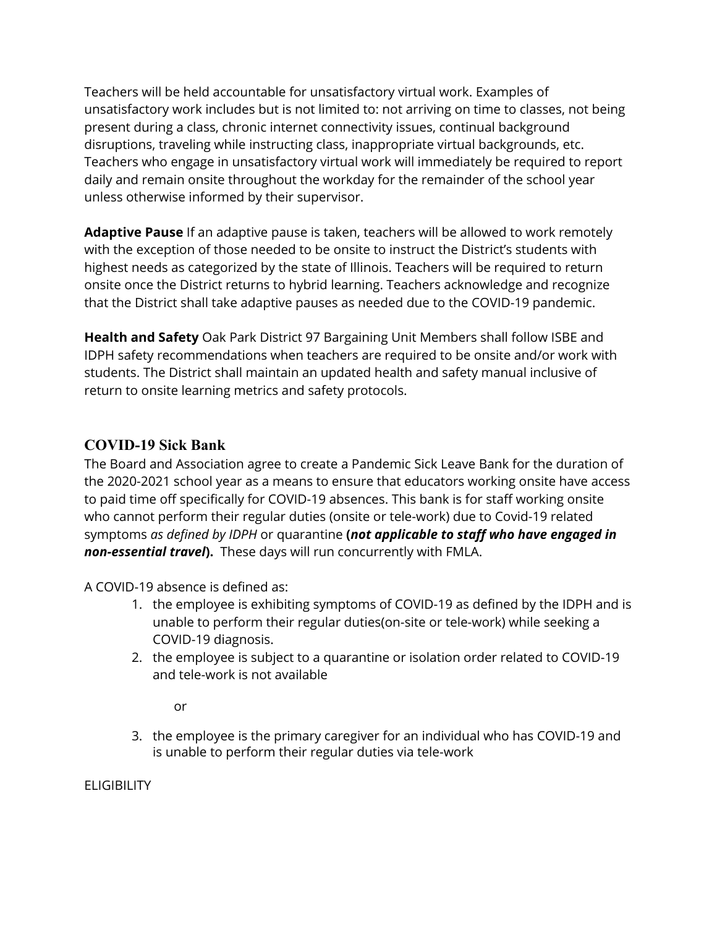Teachers will be held accountable for unsatisfactory virtual work. Examples of unsatisfactory work includes but is not limited to: not arriving on time to classes, not being present during a class, chronic internet connectivity issues, continual background disruptions, traveling while instructing class, inappropriate virtual backgrounds, etc. Teachers who engage in unsatisfactory virtual work will immediately be required to report daily and remain onsite throughout the workday for the remainder of the school year unless otherwise informed by their supervisor.

**Adaptive Pause** If an adaptive pause is taken, teachers will be allowed to work remotely with the exception of those needed to be onsite to instruct the District's students with highest needs as categorized by the state of Illinois. Teachers will be required to return onsite once the District returns to hybrid learning. Teachers acknowledge and recognize that the District shall take adaptive pauses as needed due to the COVID-19 pandemic.

**Health and Safety** Oak Park District 97 Bargaining Unit Members shall follow ISBE and IDPH safety recommendations when teachers are required to be onsite and/or work with students. The District shall maintain an updated health and safety manual inclusive of return to onsite learning metrics and safety protocols.

## **COVID-19 Sick Bank**

The Board and Association agree to create a Pandemic Sick Leave Bank for the duration of the 2020-2021 school year as a means to ensure that educators working onsite have access to paid time off specifically for COVID-19 absences. This bank is for staff working onsite who cannot perform their regular duties (onsite or tele-work) due to Covid-19 related symptoms *as defined by IDPH* or quarantine **(***not applicable to staff who have engaged in non-essential travel***).** These days will run concurrently with FMLA.

A COVID-19 absence is defined as:

- 1. the employee is exhibiting symptoms of COVID-19 as defined by the IDPH and is unable to perform their regular duties(on-site or tele-work) while seeking a COVID-19 diagnosis.
- 2. the employee is subject to a quarantine or isolation order related to COVID-19 and tele-work is not available

or

3. the employee is the primary caregiver for an individual who has COVID-19 and is unable to perform their regular duties via tele-work

ELIGIBILITY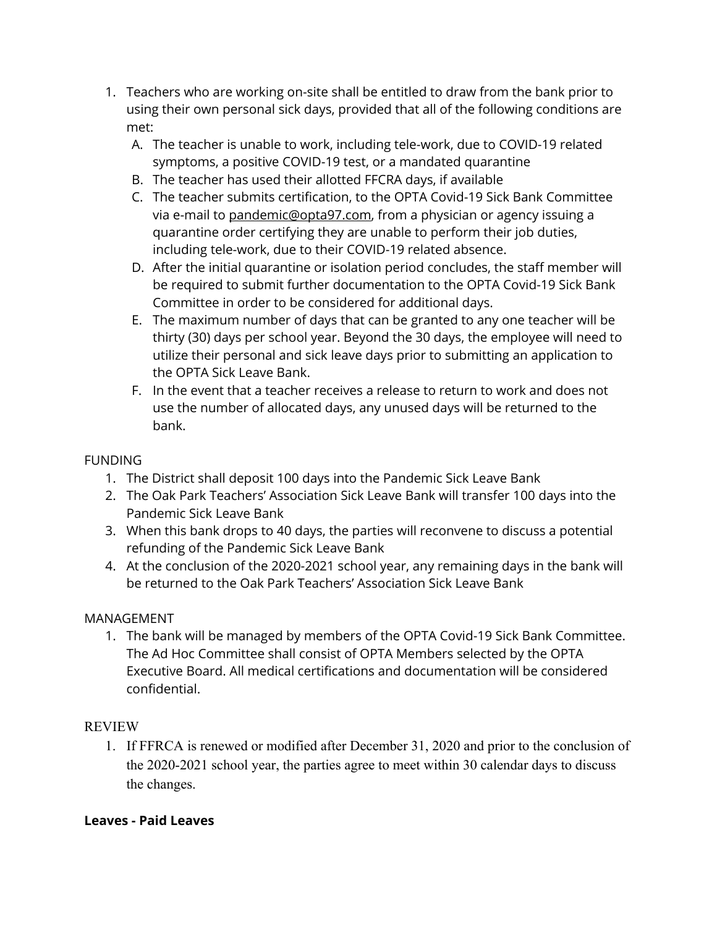- 1. Teachers who are working on-site shall be entitled to draw from the bank prior to using their own personal sick days, provided that all of the following conditions are met:
	- A. The teacher is unable to work, including tele-work, due to COVID-19 related symptoms, a positive COVID-19 test, or a mandated quarantine
	- B. The teacher has used their allotted FFCRA days, if available
	- C. The teacher submits certification, to the OPTA Covid-19 Sick Bank Committee via e-mail to [pandemic@opta97.com](mailto:pandemic@opta97.com), from a physician or agency issuing a quarantine order certifying they are unable to perform their job duties, including tele-work, due to their COVID-19 related absence.
	- D. After the initial quarantine or isolation period concludes, the staff member will be required to submit further documentation to the OPTA Covid-19 Sick Bank Committee in order to be considered for additional days.
	- E. The maximum number of days that can be granted to any one teacher will be thirty (30) days per school year. Beyond the 30 days, the employee will need to utilize their personal and sick leave days prior to submitting an application to the OPTA Sick Leave Bank.
	- F. In the event that a teacher receives a release to return to work and does not use the number of allocated days, any unused days will be returned to the bank.

### **FUNDING**

- 1. The District shall deposit 100 days into the Pandemic Sick Leave Bank
- 2. The Oak Park Teachers' Association Sick Leave Bank will transfer 100 days into the Pandemic Sick Leave Bank
- 3. When this bank drops to 40 days, the parties will reconvene to discuss a potential refunding of the Pandemic Sick Leave Bank
- 4. At the conclusion of the 2020-2021 school year, any remaining days in the bank will be returned to the Oak Park Teachers' Association Sick Leave Bank

### MANAGEMENT

1. The bank will be managed by members of the OPTA Covid-19 Sick Bank Committee. The Ad Hoc Committee shall consist of OPTA Members selected by the OPTA Executive Board. All medical certifications and documentation will be considered confidential.

## REVIEW

1. If FFRCA is renewed or modified after December 31, 2020 and prior to the conclusion of the 2020-2021 school year, the parties agree to meet within 30 calendar days to discuss the changes.

## **Leaves - Paid Leaves**